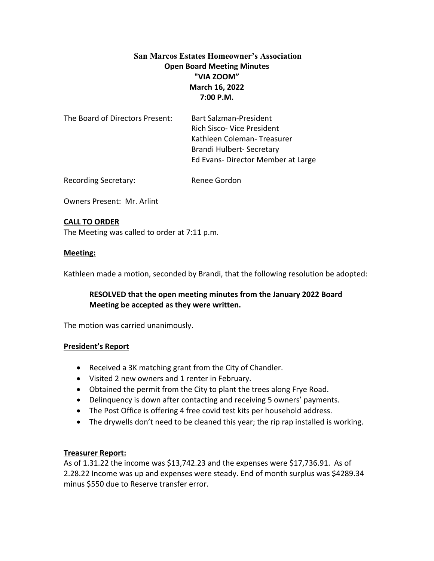# **San Marcos Estates Homeowner's Association Open Board Meeting Minutes "VIA ZOOM" March 16, 2022 7:00 P.M.**

| The Board of Directors Present: | <b>Bart Salzman-President</b>     |
|---------------------------------|-----------------------------------|
|                                 | <b>Rich Sisco- Vice President</b> |
|                                 | Kathleen Coleman-Treasurer        |
|                                 | Brandi Hulbert- Secretary         |
|                                 | Ed Evans-Director Member at Large |
|                                 |                                   |

Recording Secretary: Renee Gordon

Owners Present: Mr. Arlint

# **CALL TO ORDER**

The Meeting was called to order at 7:11 p.m.

### **Meeting:**

Kathleen made a motion, seconded by Brandi, that the following resolution be adopted:

# **RESOLVED that the open meeting minutes from the January 2022 Board Meeting be accepted as they were written.**

The motion was carried unanimously.

# **President's Report**

- Received a 3K matching grant from the City of Chandler.
- Visited 2 new owners and 1 renter in February.
- Obtained the permit from the City to plant the trees along Frye Road.
- Delinquency is down after contacting and receiving 5 owners' payments.
- The Post Office is offering 4 free covid test kits per household address.
- The drywells don't need to be cleaned this year; the rip rap installed is working.

# **Treasurer Report:**

As of 1.31.22 the income was \$13,742.23 and the expenses were \$17,736.91. As of 2.28.22 Income was up and expenses were steady. End of month surplus was \$4289.34 minus \$550 due to Reserve transfer error.